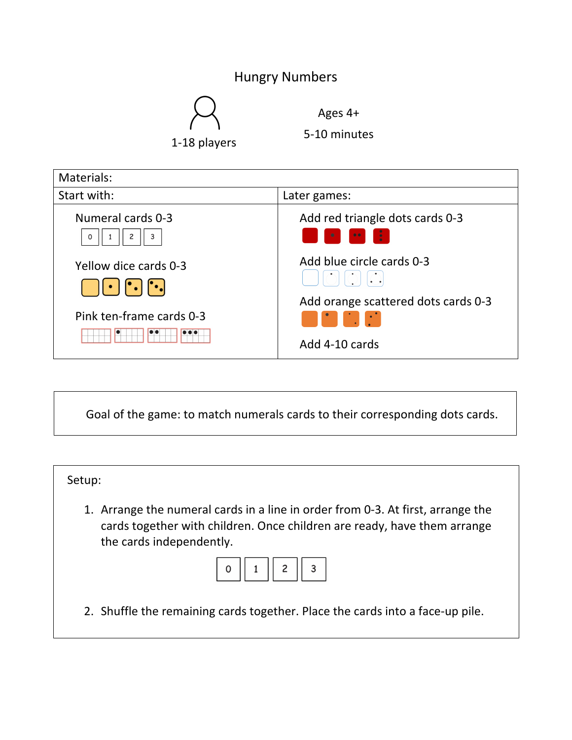## Hungry Numbers



Ages 4+

| Materials:                                                                        |                                                                  |
|-----------------------------------------------------------------------------------|------------------------------------------------------------------|
| Start with:                                                                       | Later games:                                                     |
| Numeral cards 0-3<br>$\overline{c}$<br>3<br>$\circ$                               | Add red triangle dots cards 0-3<br>÷<br>$\bullet\bullet$ .       |
| Yellow dice cards 0-3<br>$\left[\cdot\right]\left[\cdot\right]\left[\cdot\right]$ | Add blue circle cards 0-3<br>Add orange scattered dots cards 0-3 |
| Pink ten-frame cards 0-3                                                          | <b>Maria Maria Adam</b><br>Add 4-10 cards                        |

Goal of the game: to match numerals cards to their corresponding dots cards.

| Setup:                                                                                                                                                                                  |  |
|-----------------------------------------------------------------------------------------------------------------------------------------------------------------------------------------|--|
| 1. Arrange the numeral cards in a line in order from 0-3. At first, arrange the<br>cards together with children. Once children are ready, have them arrange<br>the cards independently. |  |
| 0    1    2    3                                                                                                                                                                        |  |
| 2. Shuffle the remaining cards together. Place the cards into a face-up pile.                                                                                                           |  |